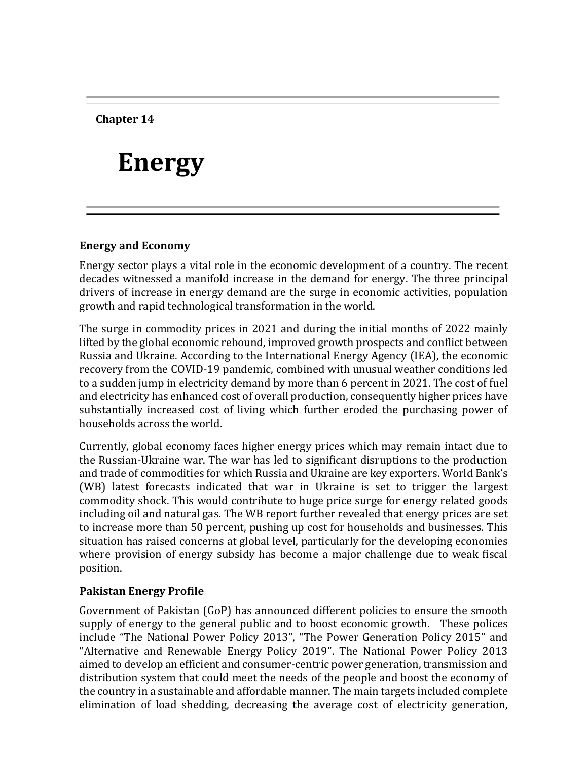**Chapter 14**

# **Energy**

## **Energy and Economy**

Energy sector plays a vital role in the economic development of a country. The recent decades witnessed a manifold increase in the demand for energy. The three principal drivers of increase in energy demand are the surge in economic activities, population growth and rapid technological transformation in the world.

The surge in commodity prices in 2021 and during the initial months of 2022 mainly lifted by the global economic rebound, improved growth prospects and conflict between Russia and Ukraine. According to the International Energy Agency (IEA), the economic recovery from the COVID-19 pandemic, combined with unusual weather conditions led to a sudden jump in electricity demand by more than 6 percent in 2021. The cost of fuel and electricity has enhanced cost of overall production, consequently higher prices have substantially increased cost of living which further eroded the purchasing power of households across the world.

Currently, global economy faces higher energy prices which may remain intact due to the Russian-Ukraine war. The war has led to significant disruptions to the production and trade of commodities for which Russia and Ukraine are key exporters. World Bank's (WB) latest forecasts indicated that war in Ukraine is set to trigger the largest commodity shock. This would contribute to huge price surge for energy related goods including oil and natural gas. The WB report further revealed that energy prices are set to increase more than 50 percent, pushing up cost for households and businesses. This situation has raised concerns at global level, particularly for the developing economies where provision of energy subsidy has become a major challenge due to weak fiscal position.

## **Pakistan Energy Profile**

Government of Pakistan (GoP) has announced different policies to ensure the smooth supply of energy to the general public and to boost economic growth. These polices include "The National Power Policy 2013", "The Power Generation Policy 2015" and "Alternative and Renewable Energy Policy 2019". The National Power Policy 2013 aimed to develop an efficient and consumer-centric power generation, transmission and distribution system that could meet the needs of the people and boost the economy of the country in a sustainable and affordable manner. The main targets included complete elimination of load shedding, decreasing the average cost of electricity generation,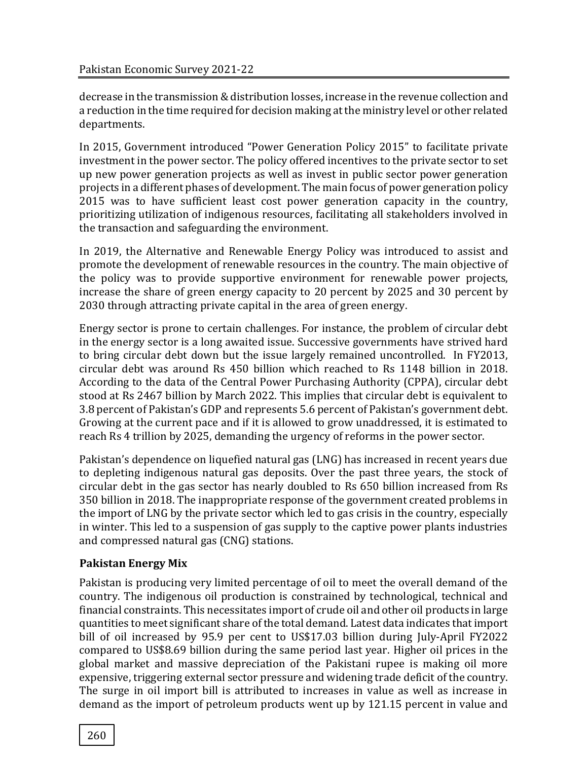decrease in the transmission & distribution losses, increase in the revenue collection and a reduction in the time required for decision making at the ministry level or other related departments.

In 2015, Government introduced "Power Generation Policy 2015" to facilitate private investment in the power sector. The policy offered incentives to the private sector to set up new power generation projects as well as invest in public sector power generation projects in a different phases of development. The main focus of power generation policy 2015 was to have sufficient least cost power generation capacity in the country, prioritizing utilization of indigenous resources, facilitating all stakeholders involved in the transaction and safeguarding the environment.

In 2019, the Alternative and Renewable Energy Policy was introduced to assist and promote the development of renewable resources in the country. The main objective of the policy was to provide supportive environment for renewable power projects, increase the share of green energy capacity to 20 percent by 2025 and 30 percent by 2030 through attracting private capital in the area of green energy.

Energy sector is prone to certain challenges. For instance, the problem of circular debt in the energy sector is a long awaited issue. Successive governments have strived hard to bring circular debt down but the issue largely remained uncontrolled. In FY2013, circular debt was around Rs 450 billion which reached to Rs 1148 billion in 2018. According to the data of the Central Power Purchasing Authority (CPPA), circular debt stood at Rs 2467 billion by March 2022. This implies that circular debt is equivalent to 3.8 percent of Pakistan's GDP and represents 5.6 percent of Pakistan's government debt. Growing at the current pace and if it is allowed to grow unaddressed, it is estimated to reach Rs 4 trillion by 2025, demanding the urgency of reforms in the power sector.

Pakistan's dependence on liquefied natural gas (LNG) has increased in recent years due to depleting indigenous natural gas deposits. Over the past three years, the stock of circular debt in the gas sector has nearly doubled to Rs 650 billion increased from Rs 350 billion in 2018. The inappropriate response of the government created problems in the import of LNG by the private sector which led to gas crisis in the country, especially in winter. This led to a suspension of gas supply to the captive power plants industries and compressed natural gas (CNG) stations.

# **Pakistan Energy Mix**

Pakistan is producing very limited percentage of oil to meet the overall demand of the country. The indigenous oil production is constrained by technological, technical and financial constraints. This necessitates import of crude oil and other oil products in large quantities to meet significant share of the total demand. Latest data indicates that import bill of oil increased by 95.9 per cent to US\$17.03 billion during July-April FY2022 compared to US\$8.69 billion during the same period last year. Higher oil prices in the global market and massive depreciation of the Pakistani rupee is making oil more expensive, triggering external sector pressure and widening trade deficit of the country. The surge in oil import bill is attributed to increases in value as well as increase in demand as the import of petroleum products went up by 121.15 percent in value and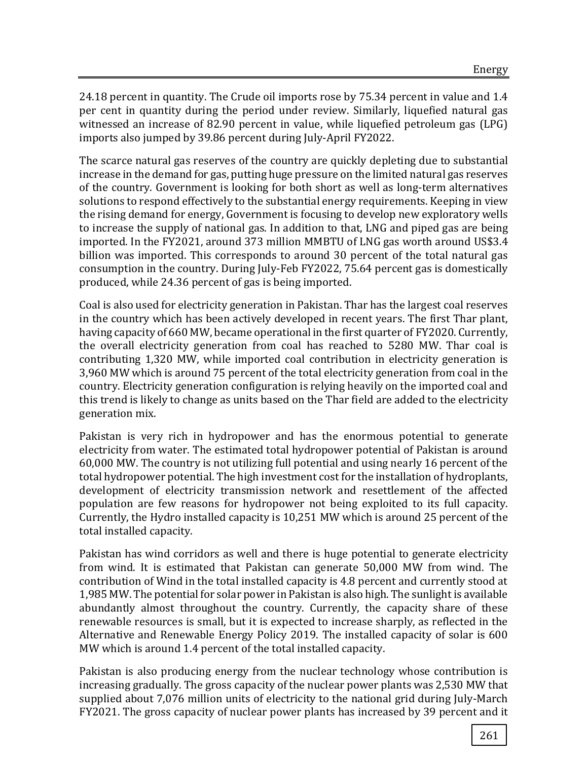24.18 percent in quantity. The Crude oil imports rose by 75.34 percent in value and 1.4 per cent in quantity during the period under review. Similarly, liquefied natural gas witnessed an increase of 82.90 percent in value, while liquefied petroleum gas (LPG) imports also jumped by 39.86 percent during July-April FY2022.

The scarce natural gas reserves of the country are quickly depleting due to substantial increase in the demand for gas, putting huge pressure on the limited natural gas reserves of the country. Government is looking for both short as well as long-term alternatives solutions to respond effectively to the substantial energy requirements. Keeping in view the rising demand for energy, Government is focusing to develop new exploratory wells to increase the supply of national gas. In addition to that, LNG and piped gas are being imported. In the FY2021, around 373 million MMBTU of LNG gas worth around US\$3.4 billion was imported. This corresponds to around 30 percent of the total natural gas consumption in the country. During July-Feb FY2022, 75.64 percent gas is domestically produced, while 24.36 percent of gas is being imported.

Coal is also used for electricity generation in Pakistan. Thar has the largest coal reserves in the country which has been actively developed in recent years. The first Thar plant, having capacity of 660 MW, became operational in the first quarter of FY2020. Currently, the overall electricity generation from coal has reached to 5280 MW. Thar coal is contributing 1,320 MW, while imported coal contribution in electricity generation is 3,960 MW which is around 75 percent of the total electricity generation from coal in the country. Electricity generation configuration is relying heavily on the imported coal and this trend is likely to change as units based on the Thar field are added to the electricity generation mix.

Pakistan is very rich in hydropower and has the enormous potential to generate electricity from water. The estimated total hydropower potential of Pakistan is around 60,000 MW. The country is not utilizing full potential and using nearly 16 percent of the total hydropower potential. The high investment cost for the installation of hydroplants, development of electricity transmission network and resettlement of the affected population are few reasons for hydropower not being exploited to its full capacity. Currently, the Hydro installed capacity is 10,251 MW which is around 25 percent of the total installed capacity.

Pakistan has wind corridors as well and there is huge potential to generate electricity from wind. It is estimated that Pakistan can generate 50,000 MW from wind. The contribution of Wind in the total installed capacity is 4.8 percent and currently stood at 1,985 MW. The potential for solar power in Pakistan is also high. The sunlight is available abundantly almost throughout the country. Currently, the capacity share of these renewable resources is small, but it is expected to increase sharply, as reflected in the Alternative and Renewable Energy Policy 2019. The installed capacity of solar is 600 MW which is around 1.4 percent of the total installed capacity.

Pakistan is also producing energy from the nuclear technology whose contribution is increasing gradually. The gross capacity of the nuclear power plants was 2,530 MW that supplied about 7,076 million units of electricity to the national grid during July-March FY2021. The gross capacity of nuclear power plants has increased by 39 percent and it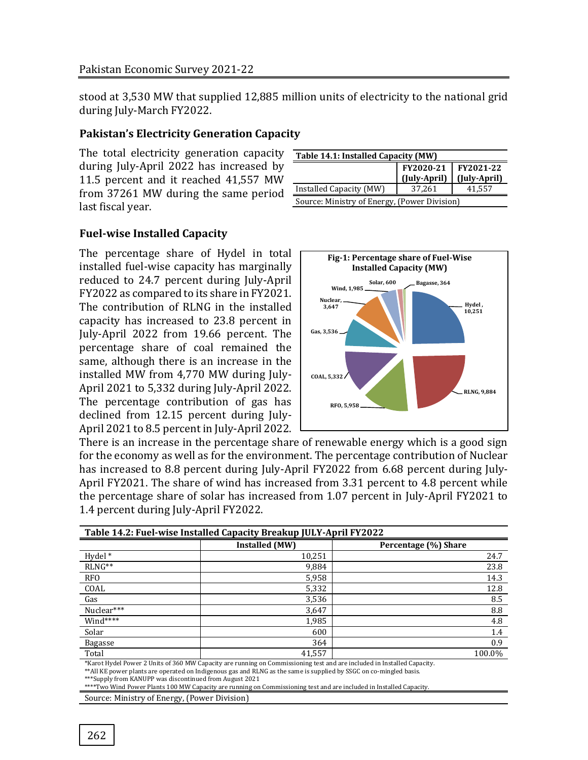stood at 3,530 MW that supplied 12,885 million units of electricity to the national grid during July-March FY2022.

## **Pakistan's Electricity Generation Capacity**

The total electricity generation capacity during July-April 2022 has increased by 11.5 percent and it reached 41,557 MW from 37261 MW during the same period last fiscal year.

| Table 14.1: Installed Capacity (MW)          |                           |                           |  |  |
|----------------------------------------------|---------------------------|---------------------------|--|--|
|                                              | FY2020-21<br>(July-April) | FY2021-22<br>(July-April) |  |  |
| Installed Capacity (MW)                      | 37,261                    | 41,557                    |  |  |
| Source: Ministry of Energy, (Power Division) |                           |                           |  |  |

# **Fuel-wise Installed Capacity**

The percentage share of Hydel in total installed fuel-wise capacity has marginally reduced to 24.7 percent during July-April FY2022 as compared to its share in FY2021. The contribution of RLNG in the installed capacity has increased to 23.8 percent in July-April 2022 from 19.66 percent. The percentage share of coal remained the same, although there is an increase in the installed MW from 4,770 MW during July-April 2021 to 5,332 during July-April 2022. The percentage contribution of gas has declined from 12.15 percent during July-April 2021 to 8.5 percent in July-April 2022.



There is an increase in the percentage share of renewable energy which is a good sign for the economy as well as for the environment. The percentage contribution of Nuclear has increased to 8.8 percent during July-April FY2022 from 6.68 percent during July-April FY2021. The share of wind has increased from 3.31 percent to 4.8 percent while the percentage share of solar has increased from 1.07 percent in July-April FY2021 to 1.4 percent during July-April FY2022.

| Table 14.2: Fuel-wise Installed Capacity Breakup JULY-April FY2022 |                                                                                                                             |                      |  |  |
|--------------------------------------------------------------------|-----------------------------------------------------------------------------------------------------------------------------|----------------------|--|--|
|                                                                    | Installed (MW)                                                                                                              | Percentage (%) Share |  |  |
| Hydel *                                                            | 10,251                                                                                                                      | 24.7                 |  |  |
| $RLNG**$                                                           | 9,884                                                                                                                       | 23.8                 |  |  |
| RFO                                                                | 5,958                                                                                                                       | 14.3                 |  |  |
| COAL                                                               | 5,332                                                                                                                       | 12.8                 |  |  |
| Gas                                                                | 3,536                                                                                                                       | 8.5                  |  |  |
| Nuclear***                                                         | 3,647                                                                                                                       | 8.8                  |  |  |
| $Wind***$                                                          | 1,985                                                                                                                       | 4.8                  |  |  |
| Solar                                                              | 600                                                                                                                         | 1.4                  |  |  |
| Bagasse                                                            | 364                                                                                                                         | 0.9                  |  |  |
| Total                                                              | 41.557                                                                                                                      | 100.0%               |  |  |
|                                                                    | XIZ and Had al Darren O Hatta of OZO MM Care director musting an Commissioning to the fact that the fact that Had Care dire |                      |  |  |

Karot Hydel Power 2 Units of 360 MW Capacity are running on Commissioning test and are included in Installed Capacity. \*\*All KE power plants are operated on Indigenous gas and RLNG as the same is supplied by SSGC on co-mingled basis. \*\*\*Supply from KANUPP was discontinued from August 2021

\*\*\*\*Two Wind Power Plants 100 MW Capacity are running on Commissioning test and are included in Installed Capacity.

Source: Ministry of Energy, (Power Division)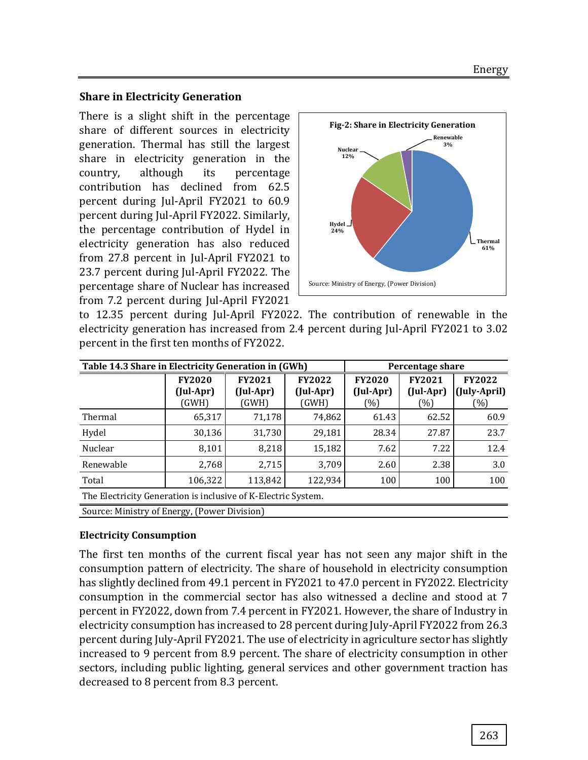#### **Share in Electricity Generation**

There is a slight shift in the percentage share of different sources in electricity generation. Thermal has still the largest share in electricity generation in the country, although its percentage contribution has declined from 62.5 percent during Jul-April FY2021 to 60.9 percent during Jul-April FY2022. Similarly, the percentage contribution of Hydel in electricity generation has also reduced from 27.8 percent in Jul-April FY2021 to 23.7 percent during Jul-April FY2022. The percentage share of Nuclear has increased from 7.2 percent during Jul-April FY2021



to 12.35 percent during Jul-April FY2022. The contribution of renewable in the electricity generation has increased from 2.4 percent during Jul-April FY2021 to 3.02 percent in the first ten months of FY2022.

| Table 14.3 Share in Electricity Generation in (GWh)           | Percentage share                    |                                     |                                     |                                   |                                   |                                      |
|---------------------------------------------------------------|-------------------------------------|-------------------------------------|-------------------------------------|-----------------------------------|-----------------------------------|--------------------------------------|
|                                                               | <b>FY2020</b><br>(Jul-Apr)<br>(GWH) | <b>FY2021</b><br>(Jul-Apr)<br>(GWH) | <b>FY2022</b><br>(Jul-Apr)<br>(GWH) | <b>FY2020</b><br>(Jul-Apr)<br>(%) | <b>FY2021</b><br>(Jul-Apr)<br>(%) | <b>FY2022</b><br>(July-April)<br>(%) |
| Thermal                                                       | 65,317                              | 71,178                              | 74,862                              | 61.43                             | 62.52                             | 60.9                                 |
| Hydel                                                         | 30,136                              | 31,730                              | 29,181                              | 28.34                             | 27.87                             | 23.7                                 |
| Nuclear                                                       | 8.101                               | 8,218                               | 15,182                              | 7.62                              | 7.22                              | 12.4                                 |
| Renewable                                                     | 2,768                               | 2,715                               | 3.709                               | 2.60                              | 2.38                              | 3.0                                  |
| Total                                                         | 106,322                             | 113,842                             | 122,934                             | 100                               | 100                               | 100                                  |
| The Electricity Generation is inclusive of K-Electric System. |                                     |                                     |                                     |                                   |                                   |                                      |
| Source: Ministry of Energy, (Power Division)                  |                                     |                                     |                                     |                                   |                                   |                                      |

## **Electricity Consumption**

The first ten months of the current fiscal year has not seen any major shift in the consumption pattern of electricity. The share of household in electricity consumption has slightly declined from 49.1 percent in FY2021 to 47.0 percent in FY2022. Electricity consumption in the commercial sector has also witnessed a decline and stood at 7 percent in FY2022, down from 7.4 percent in FY2021. However, the share of Industry in electricity consumption has increased to 28 percent during July-April FY2022 from 26.3 percent during July-April FY2021. The use of electricity in agriculture sector has slightly increased to 9 percent from 8.9 percent. The share of electricity consumption in other sectors, including public lighting, general services and other government traction has decreased to 8 percent from 8.3 percent.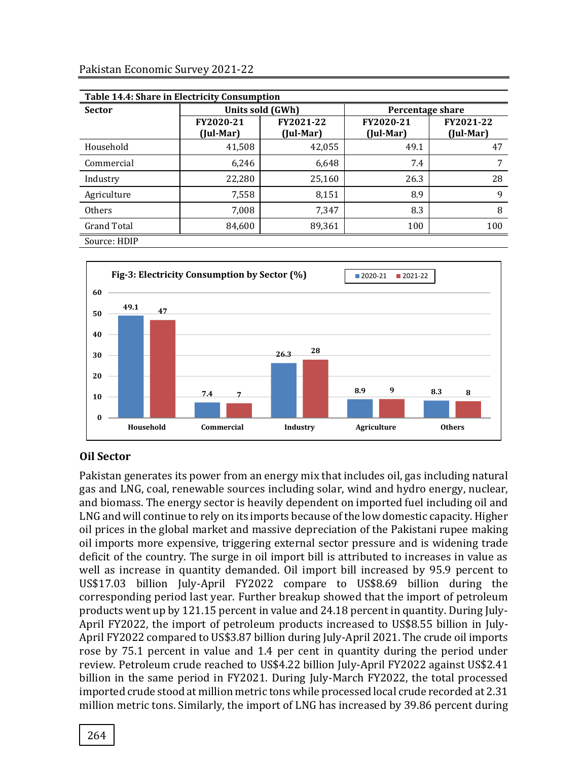| Table 14.4: Share in Electricity Consumption |                                                  |                  |                        |                        |  |  |
|----------------------------------------------|--------------------------------------------------|------------------|------------------------|------------------------|--|--|
| <b>Sector</b>                                |                                                  | Units sold (GWh) | Percentage share       |                        |  |  |
|                                              | FY2020-21<br>FY2021-22<br>(Jul-Mar)<br>(Jul-Mar) |                  | FY2020-21<br>(Jul-Mar) | FY2021-22<br>(Jul-Mar) |  |  |
| Household                                    | 41,508                                           | 42,055           | 49.1                   | 47                     |  |  |
| Commercial                                   | 6,246                                            | 6,648            | 7.4                    | 7                      |  |  |
| Industry                                     | 22,280                                           | 25,160           | 26.3                   | 28                     |  |  |
| Agriculture                                  | 7,558                                            | 8,151            | 8.9                    | 9                      |  |  |
| Others                                       | 7,008                                            | 7,347            | 8.3                    | 8                      |  |  |
| <b>Grand Total</b>                           | 84,600                                           | 89,361           | 100                    | 100                    |  |  |
| Source: HDIP                                 |                                                  |                  |                        |                        |  |  |



## **Oil Sector**

Pakistan generates its power from an energy mix that includes oil, gas including natural gas and LNG, coal, renewable sources including solar, wind and hydro energy, nuclear, and biomass. The energy sector is heavily dependent on imported fuel including oil and LNG and will continue to rely on its imports because of the low domestic capacity. Higher oil prices in the global market and massive depreciation of the Pakistani rupee making oil imports more expensive, triggering external sector pressure and is widening trade deficit of the country. The surge in oil import bill is attributed to increases in value as well as increase in quantity demanded. Oil import bill increased by 95.9 percent to US\$17.03 billion July-April FY2022 compare to US\$8.69 billion during the corresponding period last year. Further breakup showed that the import of petroleum products went up by 121.15 percent in value and 24.18 percent in quantity. During July-April FY2022, the import of petroleum products increased to US\$8.55 billion in July-April FY2022 compared to US\$3.87 billion during July-April 2021. The crude oil imports rose by 75.1 percent in value and 1.4 per cent in quantity during the period under review. Petroleum crude reached to US\$4.22 billion July-April FY2022 against US\$2.41 billion in the same period in FY2021. During July-March FY2022, the total processed imported crude stood at million metric tons while processed local crude recorded at 2.31 million metric tons. Similarly, the import of LNG has increased by 39.86 percent during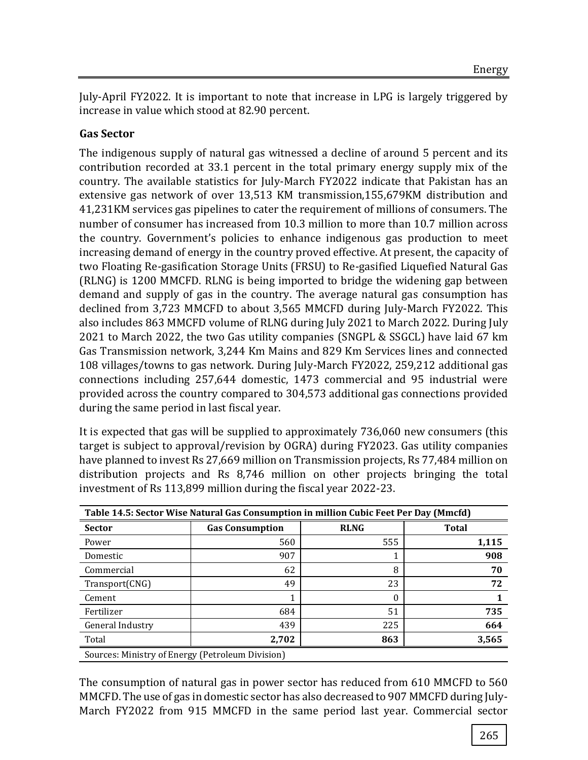July-April FY2022. It is important to note that increase in LPG is largely triggered by increase in value which stood at 82.90 percent.

# **Gas Sector**

The indigenous supply of natural gas witnessed a decline of around 5 percent and its contribution recorded at 33.1 percent in the total primary energy supply mix of the country. The available statistics for July-March FY2022 indicate that Pakistan has an extensive gas network of over 13,513 KM transmission,155,679KM distribution and 41,231KM services gas pipelines to cater the requirement of millions of consumers. The number of consumer has increased from 10.3 million to more than 10.7 million across the country. Government's policies to enhance indigenous gas production to meet increasing demand of energy in the country proved effective. At present, the capacity of two Floating Re-gasification Storage Units (FRSU) to Re-gasified Liquefied Natural Gas (RLNG) is 1200 MMCFD. RLNG is being imported to bridge the widening gap between demand and supply of gas in the country. The average natural gas consumption has declined from 3,723 MMCFD to about 3,565 MMCFD during July-March FY2022. This also includes 863 MMCFD volume of RLNG during July 2021 to March 2022. During July 2021 to March 2022, the two Gas utility companies (SNGPL & SSGCL) have laid 67 km Gas Transmission network, 3,244 Km Mains and 829 Km Services lines and connected 108 villages/towns to gas network. During July-March FY2022, 259,212 additional gas connections including 257,644 domestic, 1473 commercial and 95 industrial were provided across the country compared to 304,573 additional gas connections provided during the same period in last fiscal year.

It is expected that gas will be supplied to approximately 736,060 new consumers (this target is subject to approval/revision by OGRA) during FY2023. Gas utility companies have planned to invest Rs 27,669 million on Transmission projects, Rs 77,484 million on distribution projects and Rs 8,746 million on other projects bringing the total investment of Rs 113,899 million during the fiscal year 2022-23.

| Table 14.5: Sector Wise Natural Gas Consumption in million Cubic Feet Per Day (Mmcfd) |                        |             |              |  |  |  |
|---------------------------------------------------------------------------------------|------------------------|-------------|--------------|--|--|--|
| <b>Sector</b>                                                                         | <b>Gas Consumption</b> | <b>RLNG</b> | <b>Total</b> |  |  |  |
| Power                                                                                 | 560                    | 555         | 1,115        |  |  |  |
| Domestic                                                                              | 907                    |             | 908          |  |  |  |
| Commercial                                                                            | 62                     | 8           | 70           |  |  |  |
| Transport(CNG)                                                                        | 49                     | 23          | 72           |  |  |  |
| Cement                                                                                |                        |             |              |  |  |  |
| Fertilizer                                                                            | 684                    | 51          | 735          |  |  |  |
| General Industry                                                                      | 439                    | 225         | 664          |  |  |  |
| Total                                                                                 | 2,702                  | 863         | 3,565        |  |  |  |
| Sources: Ministry of Energy (Petroleum Division)                                      |                        |             |              |  |  |  |

The consumption of natural gas in power sector has reduced from 610 MMCFD to 560 MMCFD. The use of gas in domestic sector has also decreased to 907 MMCFD during July-March FY2022 from 915 MMCFD in the same period last year. Commercial sector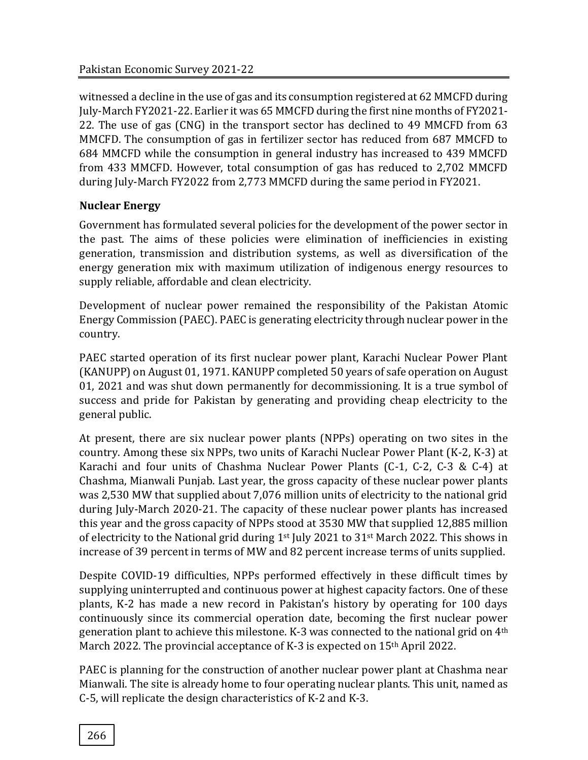witnessed a decline in the use of gas and its consumption registered at 62 MMCFD during July-March FY2021-22. Earlier it was 65 MMCFD during the first nine months of FY2021- 22. The use of gas (CNG) in the transport sector has declined to 49 MMCFD from 63 MMCFD. The consumption of gas in fertilizer sector has reduced from 687 MMCFD to 684 MMCFD while the consumption in general industry has increased to 439 MMCFD from 433 MMCFD. However, total consumption of gas has reduced to 2,702 MMCFD during July-March FY2022 from 2,773 MMCFD during the same period in FY2021.

# **Nuclear Energy**

Government has formulated several policies for the development of the power sector in the past. The aims of these policies were elimination of inefficiencies in existing generation, transmission and distribution systems, as well as diversification of the energy generation mix with maximum utilization of indigenous energy resources to supply reliable, affordable and clean electricity.

Development of nuclear power remained the responsibility of the Pakistan Atomic Energy Commission (PAEC). PAEC is generating electricity through nuclear power in the country.

PAEC started operation of its first nuclear power plant, Karachi Nuclear Power Plant (KANUPP) on August 01, 1971. KANUPP completed 50 years of safe operation on August 01, 2021 and was shut down permanently for decommissioning. It is a true symbol of success and pride for Pakistan by generating and providing cheap electricity to the general public.

At present, there are six nuclear power plants (NPPs) operating on two sites in the country. Among these six NPPs, two units of Karachi Nuclear Power Plant (K-2, K-3) at Karachi and four units of Chashma Nuclear Power Plants (C-1, C-2, C-3 & C-4) at Chashma, Mianwali Punjab. Last year, the gross capacity of these nuclear power plants was 2,530 MW that supplied about 7,076 million units of electricity to the national grid during July-March 2020-21. The capacity of these nuclear power plants has increased this year and the gross capacity of NPPs stood at 3530 MW that supplied 12,885 million of electricity to the National grid during 1st July 2021 to 31st March 2022. This shows in increase of 39 percent in terms of MW and 82 percent increase terms of units supplied.

Despite COVID-19 difficulties, NPPs performed effectively in these difficult times by supplying uninterrupted and continuous power at highest capacity factors. One of these plants, K-2 has made a new record in Pakistan's history by operating for 100 days continuously since its commercial operation date, becoming the first nuclear power generation plant to achieve this milestone. K-3 was connected to the national grid on 4th March 2022. The provincial acceptance of K-3 is expected on 15<sup>th</sup> April 2022.

PAEC is planning for the construction of another nuclear power plant at Chashma near Mianwali. The site is already home to four operating nuclear plants. This unit, named as C-5, will replicate the design characteristics of K-2 and K-3.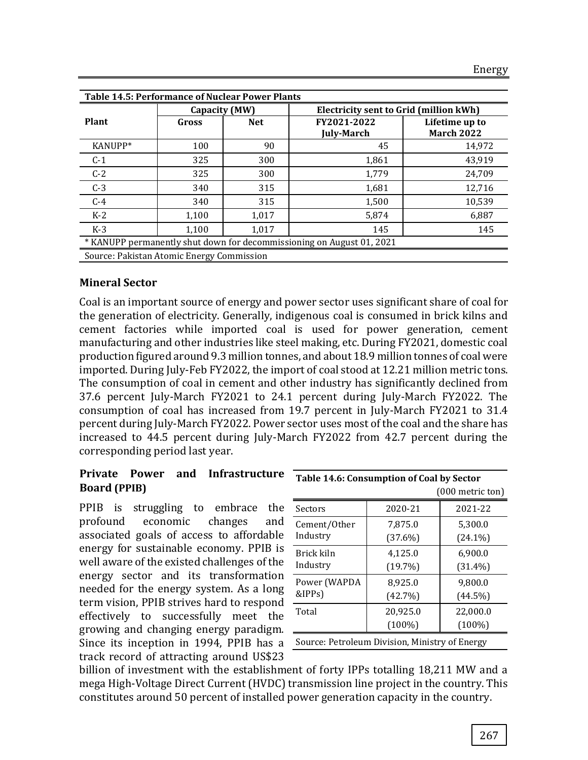| <b>Table 14.5: Performance of Nuclear Power Plants</b>                |               |            |                   |                                               |  |  |
|-----------------------------------------------------------------------|---------------|------------|-------------------|-----------------------------------------------|--|--|
|                                                                       | Capacity (MW) |            |                   | <b>Electricity sent to Grid (million kWh)</b> |  |  |
| Plant                                                                 | Gross         | <b>Net</b> | FY2021-2022       | Lifetime up to                                |  |  |
|                                                                       |               |            | <b>July-March</b> | <b>March 2022</b>                             |  |  |
| KANUPP*                                                               | 100           | 90         | 45                | 14,972                                        |  |  |
| $C-1$                                                                 | 325           | 300        | 1,861             | 43,919                                        |  |  |
| $C-2$                                                                 | 325           | 300        | 1,779             | 24,709                                        |  |  |
| $C-3$                                                                 | 340           | 315        | 1,681             | 12,716                                        |  |  |
| $C-4$                                                                 | 340           | 315        | 1,500             | 10,539                                        |  |  |
| $K-2$                                                                 | 1,100         | 1,017      | 5,874             | 6,887                                         |  |  |
| $K-3$                                                                 | 1,100         | 1,017      | 145               | 145                                           |  |  |
| * KANUPP permanently shut down for decommissioning on August 01, 2021 |               |            |                   |                                               |  |  |
| Source: Pakistan Atomic Energy Commission                             |               |            |                   |                                               |  |  |

#### **Mineral Sector**

Coal is an important source of energy and power sector uses significant share of coal for the generation of electricity. Generally, indigenous coal is consumed in brick kilns and cement factories while imported coal is used for power generation, cement manufacturing and other industries like steel making, etc. During FY2021, domestic coal production figured around 9.3 million tonnes, and about 18.9 million tonnes of coal were imported. During July-Feb FY2022, the import of coal stood at 12.21 million metric tons. The consumption of coal in cement and other industry has significantly declined from 37.6 percent July-March FY2021 to 24.1 percent during July-March FY2022. The consumption of coal has increased from 19.7 percent in July-March FY2021 to 31.4 percent during July-March FY2022. Power sector uses most of the coal and the share has increased to 44.5 percent during July-March FY2022 from 42.7 percent during the corresponding period last year.

#### **Private Power and Infrastructure Board (PPIB)**

PPIB is struggling to embrace the profound economic changes and associated goals of access to affordable energy for sustainable economy. PPIB is well aware of the existed challenges of the energy sector and its transformation needed for the energy system. As a long term vision, PPIB strives hard to respond effectively to successfully meet the growing and changing energy paradigm. Since its inception in 1994, PPIB has a track record of attracting around US\$23

| Table 14.6: Consumption of Coal by Sector      |                       |                       |  |  |  |
|------------------------------------------------|-----------------------|-----------------------|--|--|--|
| $(000$ metric ton)                             |                       |                       |  |  |  |
| Sectors                                        | 2020-21               | 2021-22               |  |  |  |
| Cement/Other<br>Industry                       | 7,875.0<br>$(37.6\%)$ | 5,300.0<br>$(24.1\%)$ |  |  |  |
| Brick kiln<br>Industry                         | 4,125.0<br>$(19.7\%)$ | 6,900.0<br>$(31.4\%)$ |  |  |  |
| Power (WAPDA<br>&IPPs)                         | 8,925.0<br>$(42.7\%)$ | 9,800.0<br>$(44.5\%)$ |  |  |  |
| Total                                          | 20,925.0<br>$(100\%)$ | 22,000.0<br>$(100\%)$ |  |  |  |
| Source: Petroleum Division, Ministry of Energy |                       |                       |  |  |  |

billion of investment with the establishment of forty IPPs totalling 18,211 MW and a mega High-Voltage Direct Current (HVDC) transmission line project in the country. This constitutes around 50 percent of installed power generation capacity in the country.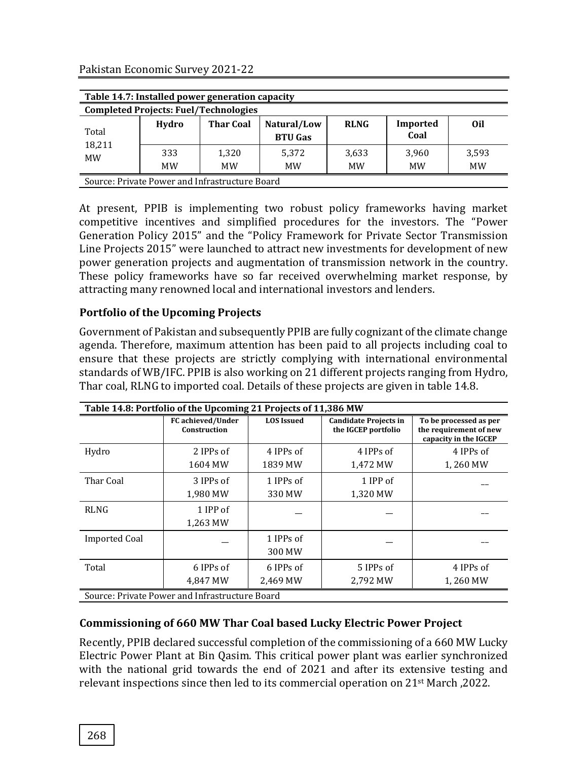Pakistan Economic Survey 2021-22

| Table 14.7: Installed power generation capacity |                                                |                  |                               |                    |                  |                    |
|-------------------------------------------------|------------------------------------------------|------------------|-------------------------------|--------------------|------------------|--------------------|
|                                                 | <b>Completed Projects: Fuel/Technologies</b>   |                  |                               |                    |                  |                    |
| Total                                           | Hydro                                          | <b>Thar Coal</b> | Natural/Low<br><b>BTU Gas</b> | <b>RLNG</b>        | Imported<br>Coal | 0il                |
| 18,211<br><b>MW</b>                             | 333<br><b>MW</b>                               | 1,320<br>MW      | 5,372<br><b>MW</b>            | 3,633<br><b>MW</b> | 3,960<br>MW      | 3,593<br><b>MW</b> |
|                                                 | Source: Private Power and Infrastructure Board |                  |                               |                    |                  |                    |

At present, PPIB is implementing two robust policy frameworks having market competitive incentives and simplified procedures for the investors. The "Power Generation Policy 2015" and the "Policy Framework for Private Sector Transmission Line Projects 2015" were launched to attract new investments for development of new power generation projects and augmentation of transmission network in the country. These policy frameworks have so far received overwhelming market response, by attracting many renowned local and international investors and lenders.

## **Portfolio of the Upcoming Projects**

Government of Pakistan and subsequently PPIB are fully cognizant of the climate change agenda. Therefore, maximum attention has been paid to all projects including coal to ensure that these projects are strictly complying with international environmental standards of WB/IFC. PPIB is also working on 21 different projects ranging from Hydro, Thar coal, RLNG to imported coal. Details of these projects are given in table 14.8.

| Table 14.8: Portfolio of the Upcoming 21 Projects of 11,386 MW |                                                |                     |                                                     |                                                                           |  |  |
|----------------------------------------------------------------|------------------------------------------------|---------------------|-----------------------------------------------------|---------------------------------------------------------------------------|--|--|
|                                                                | <b>FC</b> achieved/Under<br>Construction       | <b>LOS</b> Issued   | <b>Candidate Projects in</b><br>the IGCEP portfolio | To be processed as per<br>the requirement of new<br>capacity in the IGCEP |  |  |
| Hydro                                                          | 2 IPPs of                                      | 4 IPPs of           | 4 IPPs of                                           | 4 IPPs of                                                                 |  |  |
|                                                                | 1604 MW                                        | 1839 MW             | 1,472 MW                                            | 1,260 MW                                                                  |  |  |
| Thar Coal                                                      | 3 IPPs of                                      | 1 IPPs of           | 1 IPP of                                            |                                                                           |  |  |
|                                                                | 1,980 MW                                       | 330 MW              | 1,320 MW                                            |                                                                           |  |  |
| <b>RLNG</b>                                                    | 1 IPP of<br>1,263 MW                           |                     |                                                     |                                                                           |  |  |
| <b>Imported Coal</b>                                           |                                                | 1 IPPs of<br>300 MW |                                                     |                                                                           |  |  |
| Total                                                          | 6 IPPs of                                      | 6 IPPs of           | 5 IPPs of                                           | 4 IPPs of                                                                 |  |  |
|                                                                | 4.847 MW                                       | 2.469 MW            | 2.792 MW                                            | 1,260 MW                                                                  |  |  |
|                                                                | Source: Private Power and Infrastructure Board |                     |                                                     |                                                                           |  |  |

## **Commissioning of 660 MW Thar Coal based Lucky Electric Power Project**

Recently, PPIB declared successful completion of the commissioning of a 660 MW Lucky Electric Power Plant at Bin Qasim. This critical power plant was earlier synchronized with the national grid towards the end of 2021 and after its extensive testing and relevant inspections since then led to its commercial operation on 21st March ,2022.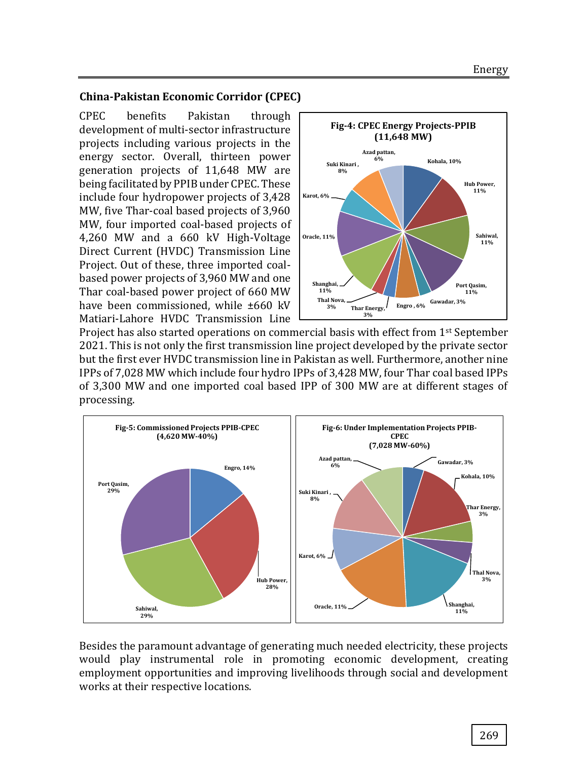#### **China-Pakistan Economic Corridor (CPEC)**

CPEC benefits Pakistan through development of multi-sector infrastructure projects including various projects in the energy sector. Overall, thirteen power generation projects of 11,648 MW are being facilitated by PPIB under CPEC. These include four hydropower projects of 3,428 MW, five Thar-coal based projects of 3,960 MW, four imported coal-based projects of 4,260 MW and a 660 kV High-Voltage Direct Current (HVDC) Transmission Line Project. Out of these, three imported coalbased power projects of 3,960 MW and one Thar coal-based power project of 660 MW have been commissioned, while ±660 kV Matiari-Lahore HVDC Transmission Line



Project has also started operations on commercial basis with effect from 1st September 2021. This is not only the first transmission line project developed by the private sector but the first ever HVDC transmission line in Pakistan as well. Furthermore, another nine IPPs of 7,028 MW which include four hydro IPPs of 3,428 MW, four Thar coal based IPPs of 3,300 MW and one imported coal based IPP of 300 MW are at different stages of processing.



Besides the paramount advantage of generating much needed electricity, these projects would play instrumental role in promoting economic development, creating employment opportunities and improving livelihoods through social and development works at their respective locations.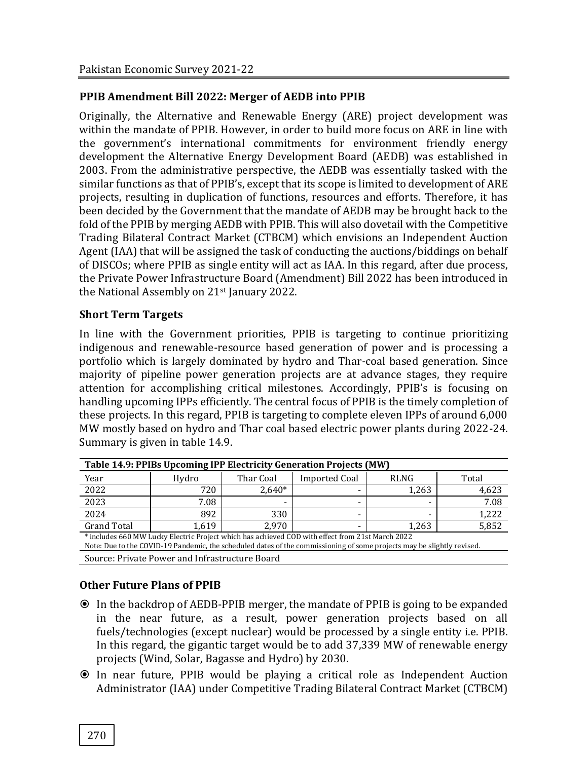## **PPIB Amendment Bill 2022: Merger of AEDB into PPIB**

Originally, the Alternative and Renewable Energy (ARE) project development was within the mandate of PPIB. However, in order to build more focus on ARE in line with the government's international commitments for environment friendly energy development the Alternative Energy Development Board (AEDB) was established in 2003. From the administrative perspective, the AEDB was essentially tasked with the similar functions as that of PPIB's, except that its scope is limited to development of ARE projects, resulting in duplication of functions, resources and efforts. Therefore, it has been decided by the Government that the mandate of AEDB may be brought back to the fold of the PPIB by merging AEDB with PPIB. This will also dovetail with the Competitive Trading Bilateral Contract Market (CTBCM) which envisions an Independent Auction Agent (IAA) that will be assigned the task of conducting the auctions/biddings on behalf of DISCOs; where PPIB as single entity will act as IAA. In this regard, after due process, the Private Power Infrastructure Board (Amendment) Bill 2022 has been introduced in the National Assembly on 21<sup>st</sup> January 2022.

#### **Short Term Targets**

In line with the Government priorities, PPIB is targeting to continue prioritizing indigenous and renewable-resource based generation of power and is processing a portfolio which is largely dominated by hydro and Thar-coal based generation. Since majority of pipeline power generation projects are at advance stages, they require attention for accomplishing critical milestones. Accordingly, PPIB's is focusing on handling upcoming IPPs efficiently. The central focus of PPIB is the timely completion of these projects. In this regard, PPIB is targeting to complete eleven IPPs of around 6,000 MW mostly based on hydro and Thar coal based electric power plants during 2022-24. Summary is given in table 14.9.

| Table 14.9: PPIBs Upcoming IPP Electricity Generation Projects (MW)                                                                                                                                                        |       |           |                      |             |       |  |
|----------------------------------------------------------------------------------------------------------------------------------------------------------------------------------------------------------------------------|-------|-----------|----------------------|-------------|-------|--|
| Year                                                                                                                                                                                                                       | Hydro | Thar Coal | <b>Imported Coal</b> | <b>RLNG</b> | Total |  |
| 2022                                                                                                                                                                                                                       | 720   | $2.640*$  |                      | 1,263       | 4,623 |  |
| 2023                                                                                                                                                                                                                       | 7.08  |           |                      |             | 7.08  |  |
| 2024                                                                                                                                                                                                                       | 892   | 330       |                      |             | 1,222 |  |
| <b>Grand Total</b>                                                                                                                                                                                                         | 1.619 | 2.970     |                      | 1.263       | 5,852 |  |
| * includes 660 MW Lucky Electric Project which has achieved COD with effect from 21st March 2022<br>Note: Due to the COVID-19 Pandemic, the scheduled dates of the commissioning of some projects may be slightly revised. |       |           |                      |             |       |  |
| Source: Private Power and Infrastructure Board                                                                                                                                                                             |       |           |                      |             |       |  |

## **Other Future Plans of PPIB**

- In the backdrop of AEDB-PPIB merger, the mandate of PPIB is going to be expanded in the near future, as a result, power generation projects based on all fuels/technologies (except nuclear) would be processed by a single entity i.e. PPIB. In this regard, the gigantic target would be to add 37,339 MW of renewable energy projects (Wind, Solar, Bagasse and Hydro) by 2030.
- In near future, PPIB would be playing a critical role as Independent Auction Administrator (IAA) under Competitive Trading Bilateral Contract Market (CTBCM)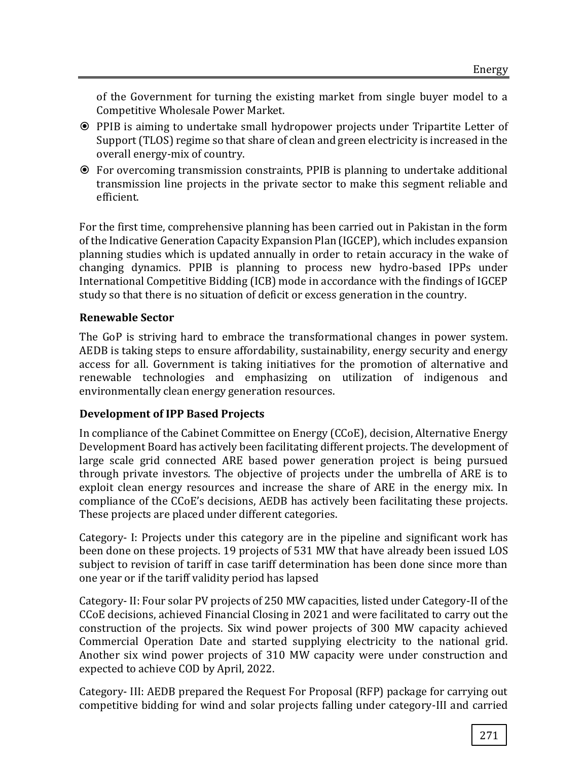of the Government for turning the existing market from single buyer model to a Competitive Wholesale Power Market.

- PPIB is aiming to undertake small hydropower projects under Tripartite Letter of Support (TLOS) regime so that share of clean and green electricity is increased in the overall energy-mix of country.
- For overcoming transmission constraints, PPIB is planning to undertake additional transmission line projects in the private sector to make this segment reliable and efficient.

For the first time, comprehensive planning has been carried out in Pakistan in the form of the Indicative Generation Capacity Expansion Plan (IGCEP), which includes expansion planning studies which is updated annually in order to retain accuracy in the wake of changing dynamics. PPIB is planning to process new hydro-based IPPs under International Competitive Bidding (ICB) mode in accordance with the findings of IGCEP study so that there is no situation of deficit or excess generation in the country.

# **Renewable Sector**

The GoP is striving hard to embrace the transformational changes in power system. AEDB is taking steps to ensure affordability, sustainability, energy security and energy access for all. Government is taking initiatives for the promotion of alternative and renewable technologies and emphasizing on utilization of indigenous and environmentally clean energy generation resources.

# **Development of IPP Based Projects**

In compliance of the Cabinet Committee on Energy (CCoE), decision, Alternative Energy Development Board has actively been facilitating different projects. The development of large scale grid connected ARE based power generation project is being pursued through private investors. The objective of projects under the umbrella of ARE is to exploit clean energy resources and increase the share of ARE in the energy mix. In compliance of the CCoE's decisions, AEDB has actively been facilitating these projects. These projects are placed under different categories.

Category- I: Projects under this category are in the pipeline and significant work has been done on these projects. 19 projects of 531 MW that have already been issued LOS subject to revision of tariff in case tariff determination has been done since more than one year or if the tariff validity period has lapsed

Category- II: Four solar PV projects of 250 MW capacities, listed under Category-II of the CCoE decisions, achieved Financial Closing in 2021 and were facilitated to carry out the construction of the projects. Six wind power projects of 300 MW capacity achieved Commercial Operation Date and started supplying electricity to the national grid. Another six wind power projects of 310 MW capacity were under construction and expected to achieve COD by April, 2022.

Category- III: AEDB prepared the Request For Proposal (RFP) package for carrying out competitive bidding for wind and solar projects falling under category-III and carried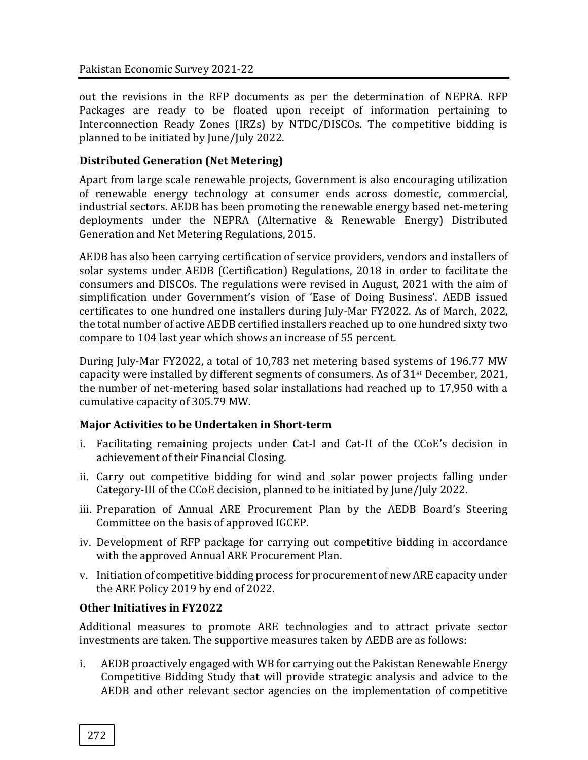out the revisions in the RFP documents as per the determination of NEPRA. RFP Packages are ready to be floated upon receipt of information pertaining to Interconnection Ready Zones (IRZs) by NTDC/DISCOs. The competitive bidding is planned to be initiated by June/July 2022.

# **Distributed Generation (Net Metering)**

Apart from large scale renewable projects, Government is also encouraging utilization of renewable energy technology at consumer ends across domestic, commercial, industrial sectors. AEDB has been promoting the renewable energy based net-metering deployments under the NEPRA (Alternative & Renewable Energy) Distributed Generation and Net Metering Regulations, 2015.

AEDB has also been carrying certification of service providers, vendors and installers of solar systems under AEDB (Certification) Regulations, 2018 in order to facilitate the consumers and DISCOs. The regulations were revised in August, 2021 with the aim of simplification under Government's vision of 'Ease of Doing Business'. AEDB issued certificates to one hundred one installers during July-Mar FY2022. As of March, 2022, the total number of active AEDB certified installers reached up to one hundred sixty two compare to 104 last year which shows an increase of 55 percent.

During July-Mar FY2022, a total of 10,783 net metering based systems of 196.77 MW capacity were installed by different segments of consumers. As of 31st December, 2021, the number of net-metering based solar installations had reached up to 17,950 with a cumulative capacity of 305.79 MW.

## **Major Activities to be Undertaken in Short-term**

- i. Facilitating remaining projects under Cat-I and Cat-II of the CCoE's decision in achievement of their Financial Closing.
- ii. Carry out competitive bidding for wind and solar power projects falling under Category-III of the CCoE decision, planned to be initiated by June/July 2022.
- iii. Preparation of Annual ARE Procurement Plan by the AEDB Board's Steering Committee on the basis of approved IGCEP.
- iv. Development of RFP package for carrying out competitive bidding in accordance with the approved Annual ARE Procurement Plan.
- v. Initiation of competitive bidding process for procurement of new ARE capacity under the ARE Policy 2019 by end of 2022.

## **Other Initiatives in FY2022**

Additional measures to promote ARE technologies and to attract private sector investments are taken. The supportive measures taken by AEDB are as follows:

i. AEDB proactively engaged with WB for carrying out the Pakistan Renewable Energy Competitive Bidding Study that will provide strategic analysis and advice to the AEDB and other relevant sector agencies on the implementation of competitive